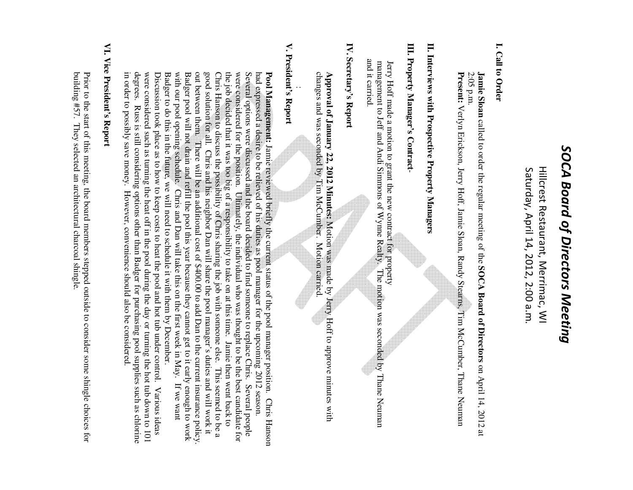# SOCA Board of Directors Meeting *SOCA Board of Directors Meeting*

 Saturday, April 14, 2012, 2:00 a.m. Hillcrest Restaurant, Merrimac, WI Saturday, April 14, 2012, 2:00 a.m Hillcrest Restaurant, Merrimac, WI

#### I. Call to Order **I. Call to Order**

2:05 p.m. **Jamie Sloan** called to order the regular meeting of the SOCA Board of Directors on April 14, 2012 at **Jamie Sloan** called to order the regular meeting of the **SOCA Board of Directors**on April 14, 2012 at

Present: Verlyn Erickson, Jerry Hoff, Jamie Sloan, Randy Stearns, Tim McCumber, Thane Neuman **Present:**  Verlyn Erickson, Jerry Hoff, Jamie Sloan, Randy Stearns, Tim McCumber, Thane Neuman

## II. Interviews with Prospective Property Managers **II. Interviews with Prospective Property Managers**

## **III. Property Manager's Contract** III. Property Manager's Contract-

 management to Jeff and Andi Simmons of Wynne Realty. The motion was seconded by Thane Neuman and it carried. and it carried. management to Jeff and Andi Simmons of Wynne Realty. Jerry Hoff made a motion to grant the new contract for property Hoff made a motion to grant the new contract for property The motion was seconded by Thane Neuman

### IV. Secretary's Report **IV. Secretary's Report**

changes and was seconded by Tim McCumber. Motion carried **Approval of January 22, 2012 Minutes:** Motion was made by Jerry Hoff to approve minutes with changes and was seconded by Tim McCumber. Motion carried. **Approval of January 22, 2012 Minutes:** Motion was made by Jerry Hoff to approve minutes with

### V. President's Report **V. President's Report**

:

degrees. Russ is still considering options other than Badger for purchasing pool supplies such as chlorine were considered such as turning the heat off in the pool during the day or turning the hot tub down to 101 Discussion took place as to how to keep costs to heat the pool and hot tub under control. Various ideas Badger to do this in the future, we will need to schedule it with them by December. with our pool opening schedule. Chris and Dan will take this on the first week in May. Badger pool will not drain and refill the pool this year because they cannot get to it early enough to work out between them. There will be an additional cost of \$400.00 to add Dan to the current insurance policy good solution for all. Chris and his neighbor Dan will share the pool manager's duties and will work it Chris Hanson to discuss the possibility of Chris sharing the job with someone else. This seemed to be a the job decided that it was too big of a responsibility to take on at this time. Jamie then went back to were considered for the position. Ultimately, the individual who was thought to be the best candidate for Several options were discussed and the board decided to find someone to replace Chris. Several people had expressed a desire to be relieved of his duties as pool manager for the upcoming 2012 season. degrees. Russ is still considering options other than Badger for purchasing pool supplies such as chlorine were considered such as turning the heat off in the day or turning the day or turning the hot tub down to  $101$ Discussion took place as to how to keep costs to heat the pool and hot tub under control. Various ideas Badger to do this in the future, we will need to schedule it with them by December. with our pool opening schedule. Chris and Dan will take this on the first week in May. If we want Badger pool will not drain and refill the pool this year because they cannot get to it early enough to work out between them. There will be an additional cost of \$400.00 to add Dan to the current insurance policy. good solution for all. Chris and his neighbor Dan will share the pool manager's duties and will work it Chris Hanson to discuss the possibility of Chris sharing the job with someone else. This seemed to be a the job decided that it was too big of a responsibility to take on at this time. Jamie then went back to were considered for the position. Ultimately, the individual who was thought to be the best candidate for Several options were discussed and the board decided to find someone to replace Chris. Several people had expressed a desire to be relieved of his duties as pool manager for the upcoming 2012 season. Pool Management: Jamie reviewed briefly the current status of the pool manager position. Chris Hanson **Pool Management:** Jamie reviewed briefly the current status of the pool manager position. Chris Hanson If we want

## VI. Vice President's Report **VI. Vice President's Report**

in order to possibly save money. However, convenience should also be considered.

in order to possibly save money. However, convenience should also be considered

building #57. They selected an architectural charcoal shingle Prior to the start of this meeting, the board members stepped outside to consider some shingle choices for building #57. They selected an architectural charcoal shingle. Prior to the start of this meeting, the board members stepped outside to consider some shingle choices for